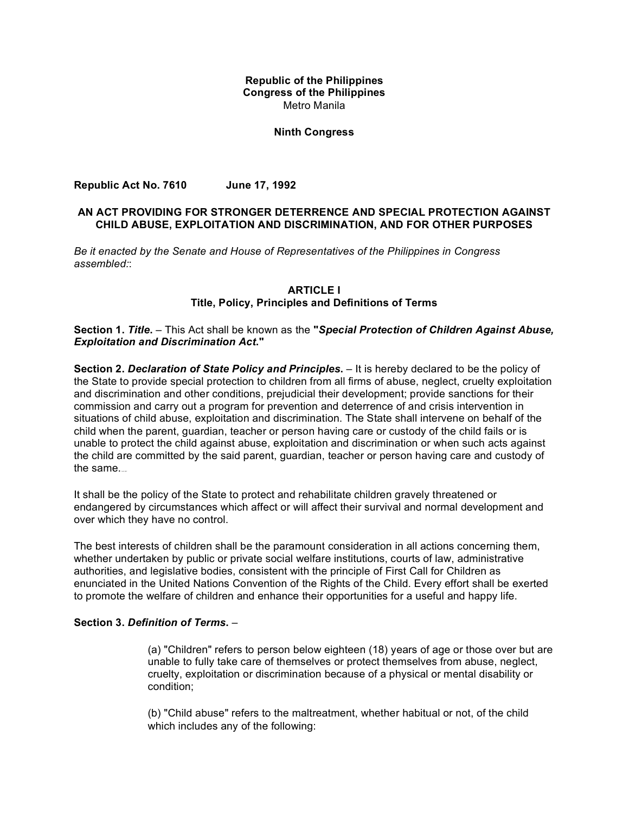## **Republic of the Philippines Congress of the Philippines** Metro Manila

## **Ninth Congress**

**Republic Act No. 7610 June 17, 1992**

## **AN ACT PROVIDING FOR STRONGER DETERRENCE AND SPECIAL PROTECTION AGAINST CHILD ABUSE, EXPLOITATION AND DISCRIMINATION, AND FOR OTHER PURPOSES**

*Be it enacted by the Senate and House of Representatives of the Philippines in Congress assembled:*:

## **ARTICLE I Title, Policy, Principles and Definitions of Terms**

## **Section 1.** *Title***.** – This Act shall be known as the **"***Special Protection of Children Against Abuse, Exploitation and Discrimination Act***."**

**Section 2.** *Declaration of State Policy and Principles***.** – It is hereby declared to be the policy of the State to provide special protection to children from all firms of abuse, neglect, cruelty exploitation and discrimination and other conditions, prejudicial their development; provide sanctions for their commission and carry out a program for prevention and deterrence of and crisis intervention in situations of child abuse, exploitation and discrimination. The State shall intervene on behalf of the child when the parent, guardian, teacher or person having care or custody of the child fails or is unable to protect the child against abuse, exploitation and discrimination or when such acts against the child are committed by the said parent, guardian, teacher or person having care and custody of the same.

It shall be the policy of the State to protect and rehabilitate children gravely threatened or endangered by circumstances which affect or will affect their survival and normal development and over which they have no control.

The best interests of children shall be the paramount consideration in all actions concerning them, whether undertaken by public or private social welfare institutions, courts of law, administrative authorities, and legislative bodies, consistent with the principle of First Call for Children as enunciated in the United Nations Convention of the Rights of the Child. Every effort shall be exerted to promote the welfare of children and enhance their opportunities for a useful and happy life.

#### **Section 3.** *Definition of Terms***.** –

(a) "Children" refers to person below eighteen (18) years of age or those over but are unable to fully take care of themselves or protect themselves from abuse, neglect, cruelty, exploitation or discrimination because of a physical or mental disability or condition;

(b) "Child abuse" refers to the maltreatment, whether habitual or not, of the child which includes any of the following: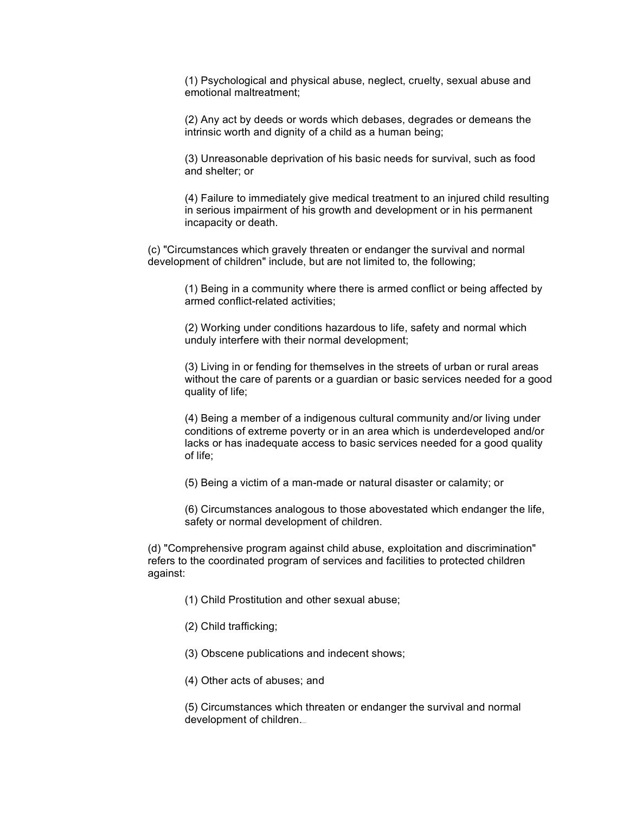(1) Psychological and physical abuse, neglect, cruelty, sexual abuse and emotional maltreatment;

(2) Any act by deeds or words which debases, degrades or demeans the intrinsic worth and dignity of a child as a human being;

(3) Unreasonable deprivation of his basic needs for survival, such as food and shelter; or

(4) Failure to immediately give medical treatment to an injured child resulting in serious impairment of his growth and development or in his permanent incapacity or death.

(c) "Circumstances which gravely threaten or endanger the survival and normal development of children" include, but are not limited to, the following;

(1) Being in a community where there is armed conflict or being affected by armed conflict-related activities;

(2) Working under conditions hazardous to life, safety and normal which unduly interfere with their normal development;

(3) Living in or fending for themselves in the streets of urban or rural areas without the care of parents or a guardian or basic services needed for a good quality of life;

(4) Being a member of a indigenous cultural community and/or living under conditions of extreme poverty or in an area which is underdeveloped and/or lacks or has inadequate access to basic services needed for a good quality of life;

(5) Being a victim of a man-made or natural disaster or calamity; or

(6) Circumstances analogous to those abovestated which endanger the life, safety or normal development of children.

(d) "Comprehensive program against child abuse, exploitation and discrimination" refers to the coordinated program of services and facilities to protected children against:

- (1) Child Prostitution and other sexual abuse;
- (2) Child trafficking;

(3) Obscene publications and indecent shows;

(4) Other acts of abuses; and

(5) Circumstances which threaten or endanger the survival and normal development of children.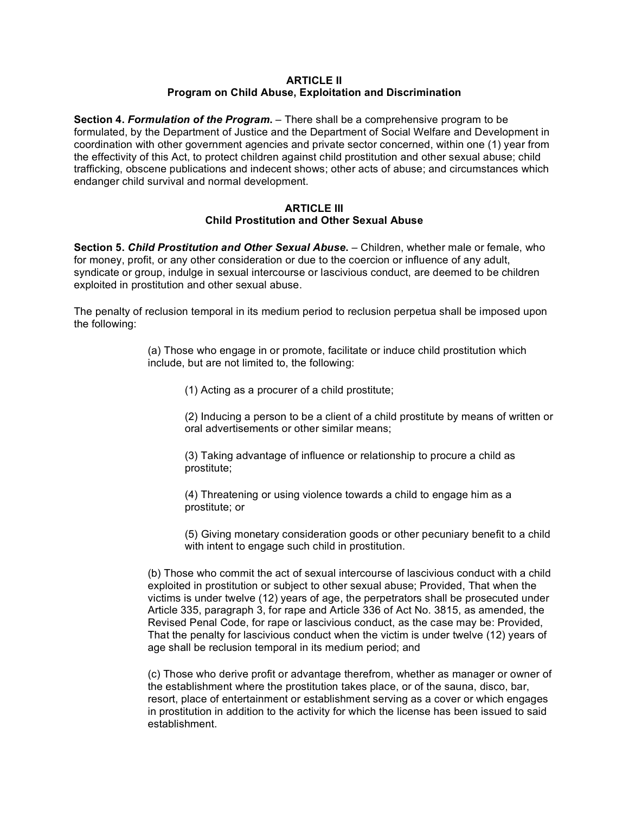#### **ARTICLE II Program on Child Abuse, Exploitation and Discrimination**

**Section 4.** *Formulation of the Program***.** – There shall be a comprehensive program to be formulated, by the Department of Justice and the Department of Social Welfare and Development in coordination with other government agencies and private sector concerned, within one (1) year from the effectivity of this Act, to protect children against child prostitution and other sexual abuse; child trafficking, obscene publications and indecent shows; other acts of abuse; and circumstances which endanger child survival and normal development.

#### **ARTICLE III Child Prostitution and Other Sexual Abuse**

**Section 5.** *Child Prostitution and Other Sexual Abuse***.** – Children, whether male or female, who for money, profit, or any other consideration or due to the coercion or influence of any adult, syndicate or group, indulge in sexual intercourse or lascivious conduct, are deemed to be children exploited in prostitution and other sexual abuse.

The penalty of reclusion temporal in its medium period to reclusion perpetua shall be imposed upon the following:

> (a) Those who engage in or promote, facilitate or induce child prostitution which include, but are not limited to, the following:

(1) Acting as a procurer of a child prostitute;

(2) Inducing a person to be a client of a child prostitute by means of written or oral advertisements or other similar means;

(3) Taking advantage of influence or relationship to procure a child as prostitute;

(4) Threatening or using violence towards a child to engage him as a prostitute; or

(5) Giving monetary consideration goods or other pecuniary benefit to a child with intent to engage such child in prostitution.

(b) Those who commit the act of sexual intercourse of lascivious conduct with a child exploited in prostitution or subject to other sexual abuse; Provided, That when the victims is under twelve (12) years of age, the perpetrators shall be prosecuted under Article 335, paragraph 3, for rape and Article 336 of Act No. 3815, as amended, the Revised Penal Code, for rape or lascivious conduct, as the case may be: Provided, That the penalty for lascivious conduct when the victim is under twelve (12) years of age shall be reclusion temporal in its medium period; and

(c) Those who derive profit or advantage therefrom, whether as manager or owner of the establishment where the prostitution takes place, or of the sauna, disco, bar, resort, place of entertainment or establishment serving as a cover or which engages in prostitution in addition to the activity for which the license has been issued to said establishment.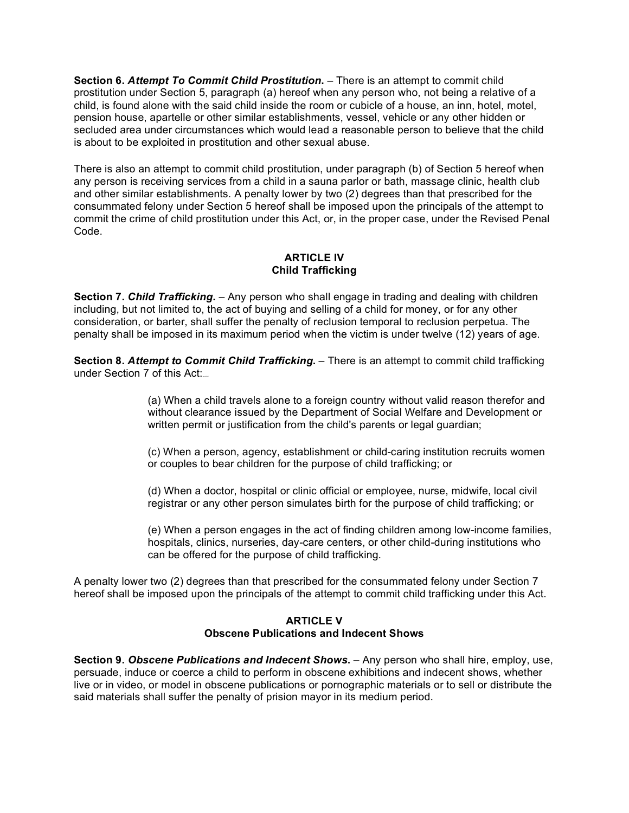**Section 6.** *Attempt To Commit Child Prostitution***.** – There is an attempt to commit child prostitution under Section 5, paragraph (a) hereof when any person who, not being a relative of a child, is found alone with the said child inside the room or cubicle of a house, an inn, hotel, motel, pension house, apartelle or other similar establishments, vessel, vehicle or any other hidden or secluded area under circumstances which would lead a reasonable person to believe that the child is about to be exploited in prostitution and other sexual abuse.

There is also an attempt to commit child prostitution, under paragraph (b) of Section 5 hereof when any person is receiving services from a child in a sauna parlor or bath, massage clinic, health club and other similar establishments. A penalty lower by two (2) degrees than that prescribed for the consummated felony under Section 5 hereof shall be imposed upon the principals of the attempt to commit the crime of child prostitution under this Act, or, in the proper case, under the Revised Penal Code.

## **ARTICLE IV Child Trafficking**

**Section 7.** *Child Trafficking***.** – Any person who shall engage in trading and dealing with children including, but not limited to, the act of buying and selling of a child for money, or for any other consideration, or barter, shall suffer the penalty of reclusion temporal to reclusion perpetua. The penalty shall be imposed in its maximum period when the victim is under twelve (12) years of age.

**Section 8.** *Attempt to Commit Child Trafficking***.** – There is an attempt to commit child trafficking under Section 7 of this Act:

> (a) When a child travels alone to a foreign country without valid reason therefor and without clearance issued by the Department of Social Welfare and Development or written permit or justification from the child's parents or legal guardian;

> (c) When a person, agency, establishment or child-caring institution recruits women or couples to bear children for the purpose of child trafficking; or

(d) When a doctor, hospital or clinic official or employee, nurse, midwife, local civil registrar or any other person simulates birth for the purpose of child trafficking; or

(e) When a person engages in the act of finding children among low-income families, hospitals, clinics, nurseries, day-care centers, or other child-during institutions who can be offered for the purpose of child trafficking.

A penalty lower two (2) degrees than that prescribed for the consummated felony under Section 7 hereof shall be imposed upon the principals of the attempt to commit child trafficking under this Act.

## **ARTICLE V Obscene Publications and Indecent Shows**

**Section 9.** *Obscene Publications and Indecent Shows***.** – Any person who shall hire, employ, use, persuade, induce or coerce a child to perform in obscene exhibitions and indecent shows, whether live or in video, or model in obscene publications or pornographic materials or to sell or distribute the said materials shall suffer the penalty of prision mayor in its medium period.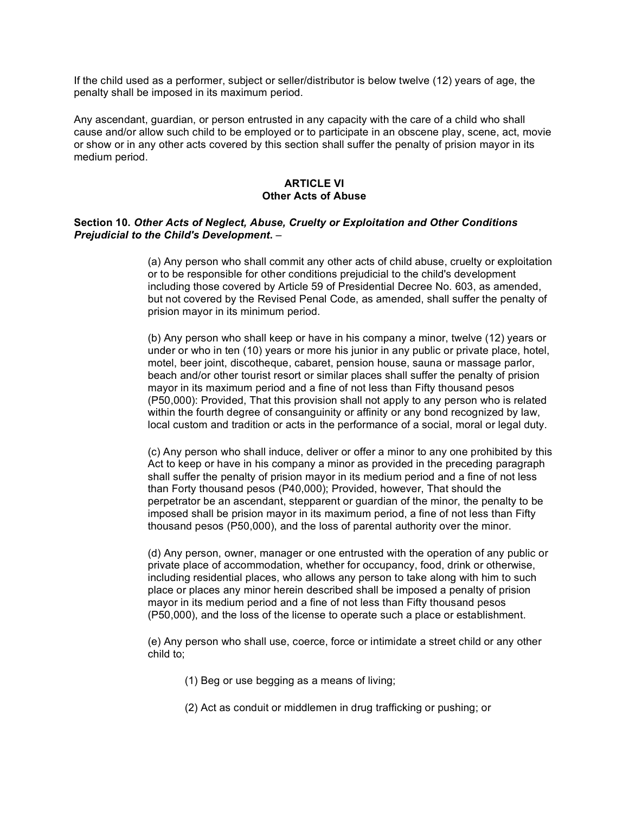If the child used as a performer, subject or seller/distributor is below twelve (12) years of age, the penalty shall be imposed in its maximum period.

Any ascendant, guardian, or person entrusted in any capacity with the care of a child who shall cause and/or allow such child to be employed or to participate in an obscene play, scene, act, movie or show or in any other acts covered by this section shall suffer the penalty of prision mayor in its medium period.

#### **ARTICLE VI Other Acts of Abuse**

#### **Section 10.** *Other Acts of Neglect, Abuse, Cruelty or Exploitation and Other Conditions Prejudicial to the Child's Development***.** –

(a) Any person who shall commit any other acts of child abuse, cruelty or exploitation or to be responsible for other conditions prejudicial to the child's development including those covered by Article 59 of Presidential Decree No. 603, as amended, but not covered by the Revised Penal Code, as amended, shall suffer the penalty of prision mayor in its minimum period.

(b) Any person who shall keep or have in his company a minor, twelve (12) years or under or who in ten (10) years or more his junior in any public or private place, hotel, motel, beer joint, discotheque, cabaret, pension house, sauna or massage parlor, beach and/or other tourist resort or similar places shall suffer the penalty of prision mayor in its maximum period and a fine of not less than Fifty thousand pesos (P50,000): Provided, That this provision shall not apply to any person who is related within the fourth degree of consanguinity or affinity or any bond recognized by law, local custom and tradition or acts in the performance of a social, moral or legal duty.

(c) Any person who shall induce, deliver or offer a minor to any one prohibited by this Act to keep or have in his company a minor as provided in the preceding paragraph shall suffer the penalty of prision mayor in its medium period and a fine of not less than Forty thousand pesos (P40,000); Provided, however, That should the perpetrator be an ascendant, stepparent or guardian of the minor, the penalty to be imposed shall be prision mayor in its maximum period, a fine of not less than Fifty thousand pesos (P50,000), and the loss of parental authority over the minor.

(d) Any person, owner, manager or one entrusted with the operation of any public or private place of accommodation, whether for occupancy, food, drink or otherwise, including residential places, who allows any person to take along with him to such place or places any minor herein described shall be imposed a penalty of prision mayor in its medium period and a fine of not less than Fifty thousand pesos (P50,000), and the loss of the license to operate such a place or establishment.

(e) Any person who shall use, coerce, force or intimidate a street child or any other child to;

- (1) Beg or use begging as a means of living;
- (2) Act as conduit or middlemen in drug trafficking or pushing; or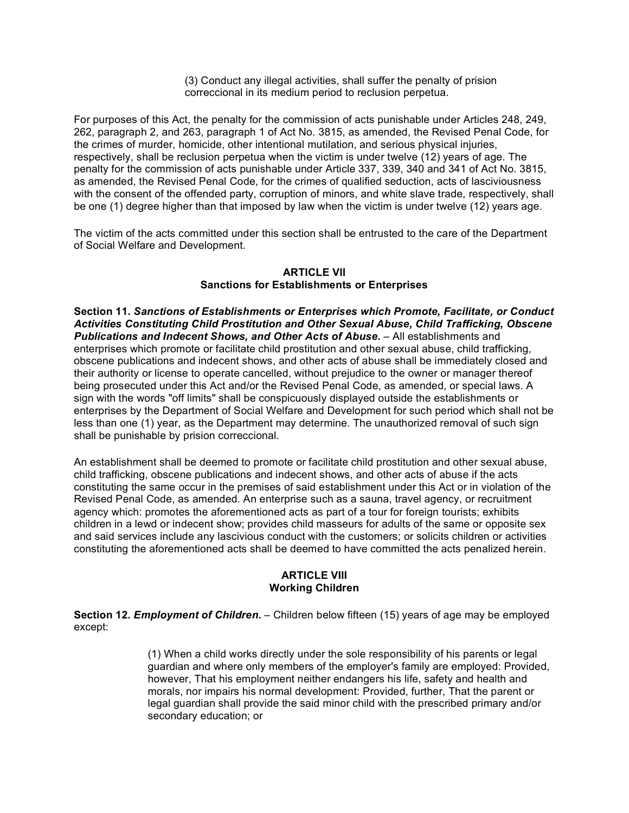(3) Conduct any illegal activities, shall suffer the penalty of prision correccional in its medium period to reclusion perpetua.

For purposes of this Act, the penalty for the commission of acts punishable under Articles 248, 249, 262, paragraph 2, and 263, paragraph 1 of Act No. 3815, as amended, the Revised Penal Code, for the crimes of murder, homicide, other intentional mutilation, and serious physical injuries, respectively, shall be reclusion perpetua when the victim is under twelve (12) years of age. The penalty for the commission of acts punishable under Article 337, 339, 340 and 341 of Act No. 3815, as amended, the Revised Penal Code, for the crimes of qualified seduction, acts of lasciviousness with the consent of the offended party, corruption of minors, and white slave trade, respectively, shall be one (1) degree higher than that imposed by law when the victim is under twelve (12) years age.

The victim of the acts committed under this section shall be entrusted to the care of the Department of Social Welfare and Development.

## **ARTICLE VII Sanctions for Establishments or Enterprises**

**Section 11.** *Sanctions of Establishments or Enterprises which Promote, Facilitate, or Conduct Activities Constituting Child Prostitution and Other Sexual Abuse, Child Trafficking, Obscene Publications and Indecent Shows, and Other Acts of Abuse***.** – All establishments and enterprises which promote or facilitate child prostitution and other sexual abuse, child trafficking, obscene publications and indecent shows, and other acts of abuse shall be immediately closed and their authority or license to operate cancelled, without prejudice to the owner or manager thereof being prosecuted under this Act and/or the Revised Penal Code, as amended, or special laws. A sign with the words "off limits" shall be conspicuously displayed outside the establishments or enterprises by the Department of Social Welfare and Development for such period which shall not be less than one (1) year, as the Department may determine. The unauthorized removal of such sign shall be punishable by prision correccional.

An establishment shall be deemed to promote or facilitate child prostitution and other sexual abuse, child trafficking, obscene publications and indecent shows, and other acts of abuse if the acts constituting the same occur in the premises of said establishment under this Act or in violation of the Revised Penal Code, as amended. An enterprise such as a sauna, travel agency, or recruitment agency which: promotes the aforementioned acts as part of a tour for foreign tourists; exhibits children in a lewd or indecent show; provides child masseurs for adults of the same or opposite sex and said services include any lascivious conduct with the customers; or solicits children or activities constituting the aforementioned acts shall be deemed to have committed the acts penalized herein.

## **ARTICLE VIII Working Children**

**Section 12.** *Employment of Children***.** – Children below fifteen (15) years of age may be employed except:

> (1) When a child works directly under the sole responsibility of his parents or legal guardian and where only members of the employer's family are employed: Provided, however, That his employment neither endangers his life, safety and health and morals, nor impairs his normal development: Provided, further, That the parent or legal guardian shall provide the said minor child with the prescribed primary and/or secondary education; or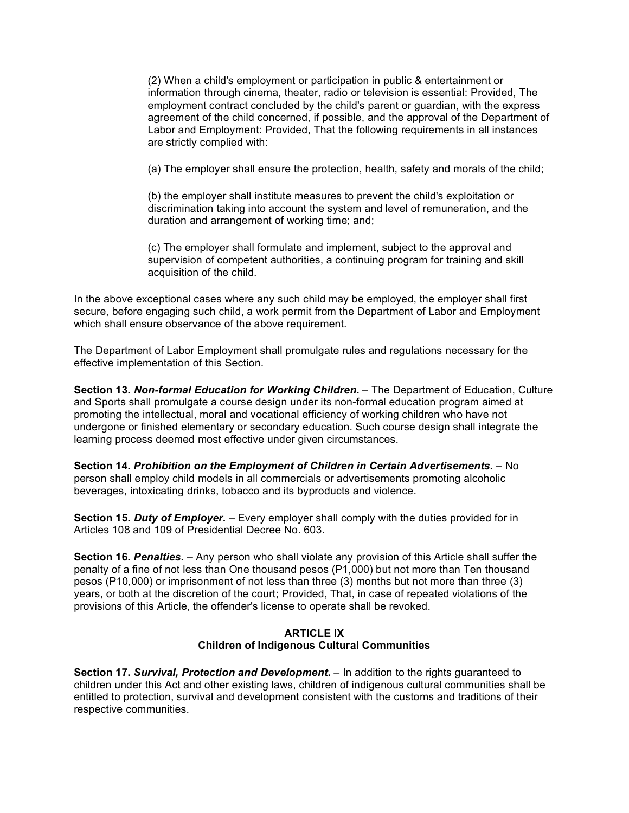(2) When a child's employment or participation in public & entertainment or information through cinema, theater, radio or television is essential: Provided, The employment contract concluded by the child's parent or guardian, with the express agreement of the child concerned, if possible, and the approval of the Department of Labor and Employment: Provided, That the following requirements in all instances are strictly complied with:

(a) The employer shall ensure the protection, health, safety and morals of the child;

(b) the employer shall institute measures to prevent the child's exploitation or discrimination taking into account the system and level of remuneration, and the duration and arrangement of working time; and;

(c) The employer shall formulate and implement, subject to the approval and supervision of competent authorities, a continuing program for training and skill acquisition of the child.

In the above exceptional cases where any such child may be employed, the employer shall first secure, before engaging such child, a work permit from the Department of Labor and Employment which shall ensure observance of the above requirement.

The Department of Labor Employment shall promulgate rules and regulations necessary for the effective implementation of this Section.

**Section 13.** *Non-formal Education for Working Children***.** – The Department of Education, Culture and Sports shall promulgate a course design under its non-formal education program aimed at promoting the intellectual, moral and vocational efficiency of working children who have not undergone or finished elementary or secondary education. Such course design shall integrate the learning process deemed most effective under given circumstances.

**Section 14.** *Prohibition on the Employment of Children in Certain Advertisements***.** – No person shall employ child models in all commercials or advertisements promoting alcoholic beverages, intoxicating drinks, tobacco and its byproducts and violence.

**Section 15.** *Duty of Employer***.** – Every employer shall comply with the duties provided for in Articles 108 and 109 of Presidential Decree No. 603.

**Section 16.** *Penalties***.** – Any person who shall violate any provision of this Article shall suffer the penalty of a fine of not less than One thousand pesos (P1,000) but not more than Ten thousand pesos (P10,000) or imprisonment of not less than three (3) months but not more than three (3) years, or both at the discretion of the court; Provided, That, in case of repeated violations of the provisions of this Article, the offender's license to operate shall be revoked.

## **ARTICLE IX Children of Indigenous Cultural Communities**

**Section 17.** *Survival, Protection and Development***.** – In addition to the rights guaranteed to children under this Act and other existing laws, children of indigenous cultural communities shall be entitled to protection, survival and development consistent with the customs and traditions of their respective communities.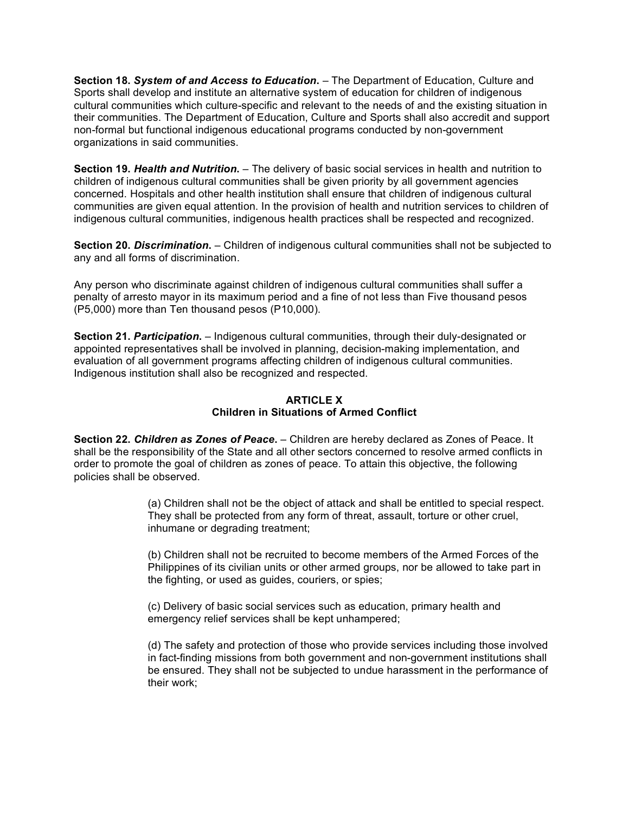**Section 18.** *System of and Access to Education***.** – The Department of Education, Culture and Sports shall develop and institute an alternative system of education for children of indigenous cultural communities which culture-specific and relevant to the needs of and the existing situation in their communities. The Department of Education, Culture and Sports shall also accredit and support non-formal but functional indigenous educational programs conducted by non-government organizations in said communities.

**Section 19.** *Health and Nutrition***.** – The delivery of basic social services in health and nutrition to children of indigenous cultural communities shall be given priority by all government agencies concerned. Hospitals and other health institution shall ensure that children of indigenous cultural communities are given equal attention. In the provision of health and nutrition services to children of indigenous cultural communities, indigenous health practices shall be respected and recognized.

**Section 20.** *Discrimination***.** – Children of indigenous cultural communities shall not be subjected to any and all forms of discrimination.

Any person who discriminate against children of indigenous cultural communities shall suffer a penalty of arresto mayor in its maximum period and a fine of not less than Five thousand pesos (P5,000) more than Ten thousand pesos (P10,000).

**Section 21.** *Participation***.** – Indigenous cultural communities, through their duly-designated or appointed representatives shall be involved in planning, decision-making implementation, and evaluation of all government programs affecting children of indigenous cultural communities. Indigenous institution shall also be recognized and respected.

# **ARTICLE X Children in Situations of Armed Conflict**

**Section 22.** *Children as Zones of Peace***.** – Children are hereby declared as Zones of Peace. It shall be the responsibility of the State and all other sectors concerned to resolve armed conflicts in order to promote the goal of children as zones of peace. To attain this objective, the following policies shall be observed.

> (a) Children shall not be the object of attack and shall be entitled to special respect. They shall be protected from any form of threat, assault, torture or other cruel, inhumane or degrading treatment;

> (b) Children shall not be recruited to become members of the Armed Forces of the Philippines of its civilian units or other armed groups, nor be allowed to take part in the fighting, or used as guides, couriers, or spies;

(c) Delivery of basic social services such as education, primary health and emergency relief services shall be kept unhampered;

(d) The safety and protection of those who provide services including those involved in fact-finding missions from both government and non-government institutions shall be ensured. They shall not be subjected to undue harassment in the performance of their work;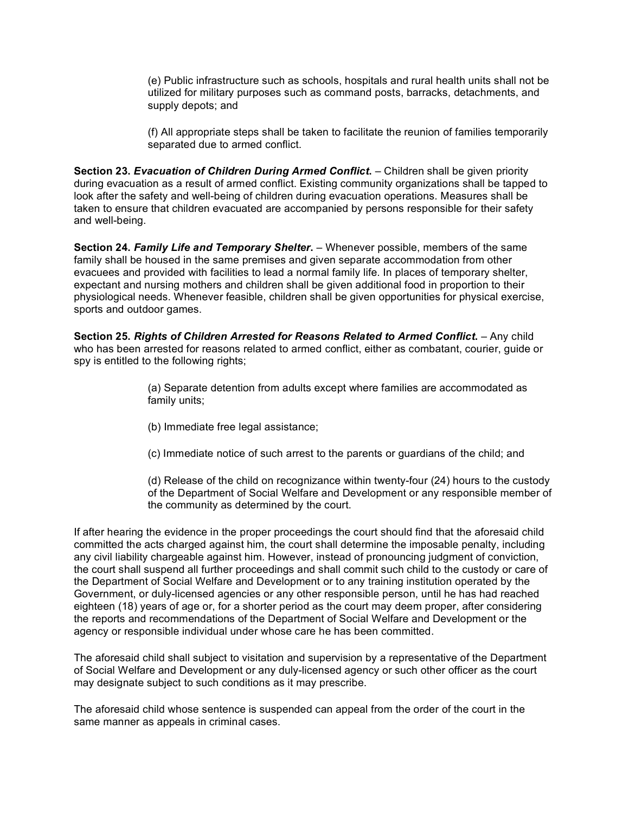(e) Public infrastructure such as schools, hospitals and rural health units shall not be utilized for military purposes such as command posts, barracks, detachments, and supply depots; and

(f) All appropriate steps shall be taken to facilitate the reunion of families temporarily separated due to armed conflict.

**Section 23.** *Evacuation of Children During Armed Conflict***.** – Children shall be given priority during evacuation as a result of armed conflict. Existing community organizations shall be tapped to look after the safety and well-being of children during evacuation operations. Measures shall be taken to ensure that children evacuated are accompanied by persons responsible for their safety and well-being.

**Section 24.** *Family Life and Temporary Shelter***.** – Whenever possible, members of the same family shall be housed in the same premises and given separate accommodation from other evacuees and provided with facilities to lead a normal family life. In places of temporary shelter, expectant and nursing mothers and children shall be given additional food in proportion to their physiological needs. Whenever feasible, children shall be given opportunities for physical exercise, sports and outdoor games.

**Section 25.** *Rights of Children Arrested for Reasons Related to Armed Conflict***.** – Any child who has been arrested for reasons related to armed conflict, either as combatant, courier, guide or spy is entitled to the following rights;

- (a) Separate detention from adults except where families are accommodated as family units;
- (b) Immediate free legal assistance;
- (c) Immediate notice of such arrest to the parents or guardians of the child; and

(d) Release of the child on recognizance within twenty-four (24) hours to the custody of the Department of Social Welfare and Development or any responsible member of the community as determined by the court.

If after hearing the evidence in the proper proceedings the court should find that the aforesaid child committed the acts charged against him, the court shall determine the imposable penalty, including any civil liability chargeable against him. However, instead of pronouncing judgment of conviction, the court shall suspend all further proceedings and shall commit such child to the custody or care of the Department of Social Welfare and Development or to any training institution operated by the Government, or duly-licensed agencies or any other responsible person, until he has had reached eighteen (18) years of age or, for a shorter period as the court may deem proper, after considering the reports and recommendations of the Department of Social Welfare and Development or the agency or responsible individual under whose care he has been committed.

The aforesaid child shall subject to visitation and supervision by a representative of the Department of Social Welfare and Development or any duly-licensed agency or such other officer as the court may designate subject to such conditions as it may prescribe.

The aforesaid child whose sentence is suspended can appeal from the order of the court in the same manner as appeals in criminal cases.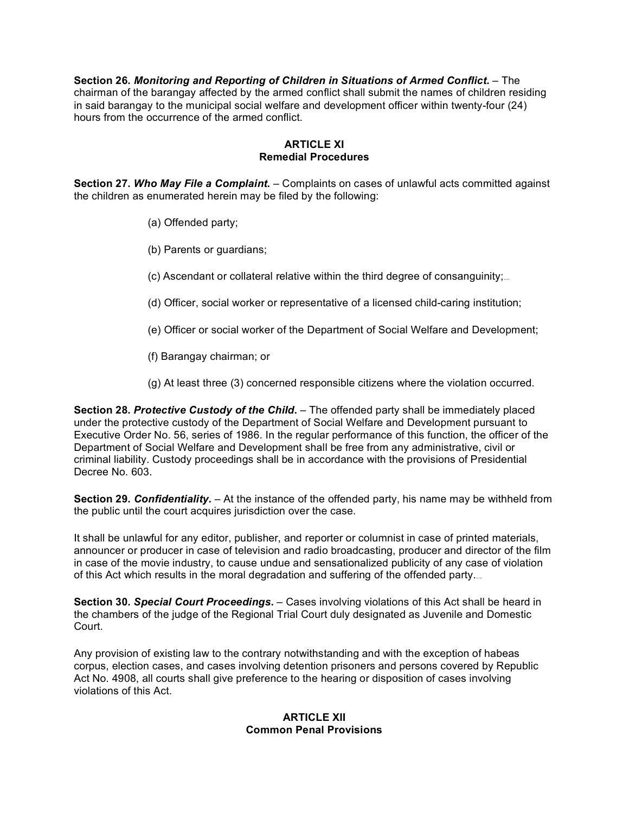**Section 26.** *Monitoring and Reporting of Children in Situations of Armed Conflict***.** – The chairman of the barangay affected by the armed conflict shall submit the names of children residing in said barangay to the municipal social welfare and development officer within twenty-four (24) hours from the occurrence of the armed conflict.

## **ARTICLE XI Remedial Procedures**

**Section 27.** *Who May File a Complaint***.** – Complaints on cases of unlawful acts committed against the children as enumerated herein may be filed by the following:

- (a) Offended party;
- (b) Parents or guardians;
- (c) Ascendant or collateral relative within the third degree of consanguinity;...
- (d) Officer, social worker or representative of a licensed child-caring institution;
- (e) Officer or social worker of the Department of Social Welfare and Development;
- (f) Barangay chairman; or
- (g) At least three (3) concerned responsible citizens where the violation occurred.

**Section 28.** *Protective Custody of the Child***.** – The offended party shall be immediately placed under the protective custody of the Department of Social Welfare and Development pursuant to Executive Order No. 56, series of 1986. In the regular performance of this function, the officer of the Department of Social Welfare and Development shall be free from any administrative, civil or criminal liability. Custody proceedings shall be in accordance with the provisions of Presidential Decree No. 603.

**Section 29.** *Confidentiality***.** – At the instance of the offended party, his name may be withheld from the public until the court acquires jurisdiction over the case.

It shall be unlawful for any editor, publisher, and reporter or columnist in case of printed materials, announcer or producer in case of television and radio broadcasting, producer and director of the film in case of the movie industry, to cause undue and sensationalized publicity of any case of violation of this Act which results in the moral degradation and suffering of the offended party.

**Section 30.** *Special Court Proceedings***.** – Cases involving violations of this Act shall be heard in the chambers of the judge of the Regional Trial Court duly designated as Juvenile and Domestic Court.

Any provision of existing law to the contrary notwithstanding and with the exception of habeas corpus, election cases, and cases involving detention prisoners and persons covered by Republic Act No. 4908, all courts shall give preference to the hearing or disposition of cases involving violations of this Act.

# **ARTICLE XII Common Penal Provisions**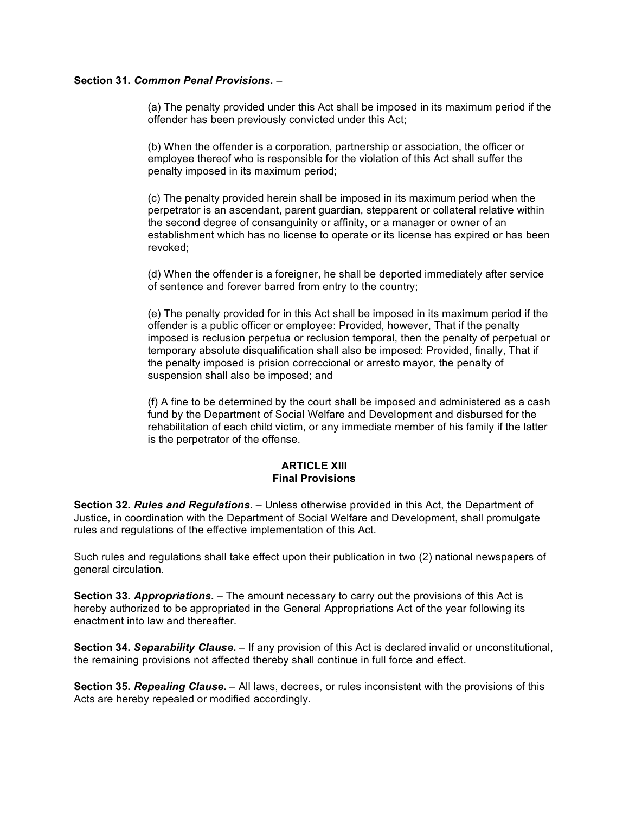## **Section 31.** *Common Penal Provisions***.** –

(a) The penalty provided under this Act shall be imposed in its maximum period if the offender has been previously convicted under this Act;

(b) When the offender is a corporation, partnership or association, the officer or employee thereof who is responsible for the violation of this Act shall suffer the penalty imposed in its maximum period;

(c) The penalty provided herein shall be imposed in its maximum period when the perpetrator is an ascendant, parent guardian, stepparent or collateral relative within the second degree of consanguinity or affinity, or a manager or owner of an establishment which has no license to operate or its license has expired or has been revoked;

(d) When the offender is a foreigner, he shall be deported immediately after service of sentence and forever barred from entry to the country;

(e) The penalty provided for in this Act shall be imposed in its maximum period if the offender is a public officer or employee: Provided, however, That if the penalty imposed is reclusion perpetua or reclusion temporal, then the penalty of perpetual or temporary absolute disqualification shall also be imposed: Provided, finally, That if the penalty imposed is prision correccional or arresto mayor, the penalty of suspension shall also be imposed; and

(f) A fine to be determined by the court shall be imposed and administered as a cash fund by the Department of Social Welfare and Development and disbursed for the rehabilitation of each child victim, or any immediate member of his family if the latter is the perpetrator of the offense.

#### **ARTICLE XIII Final Provisions**

**Section 32.** *Rules and Regulations***.** – Unless otherwise provided in this Act, the Department of Justice, in coordination with the Department of Social Welfare and Development, shall promulgate rules and regulations of the effective implementation of this Act.

Such rules and regulations shall take effect upon their publication in two (2) national newspapers of general circulation.

**Section 33.** *Appropriations***.** – The amount necessary to carry out the provisions of this Act is hereby authorized to be appropriated in the General Appropriations Act of the year following its enactment into law and thereafter.

**Section 34.** *Separability Clause***.** – If any provision of this Act is declared invalid or unconstitutional, the remaining provisions not affected thereby shall continue in full force and effect.

**Section 35.** *Repealing Clause***.** – All laws, decrees, or rules inconsistent with the provisions of this Acts are hereby repealed or modified accordingly.